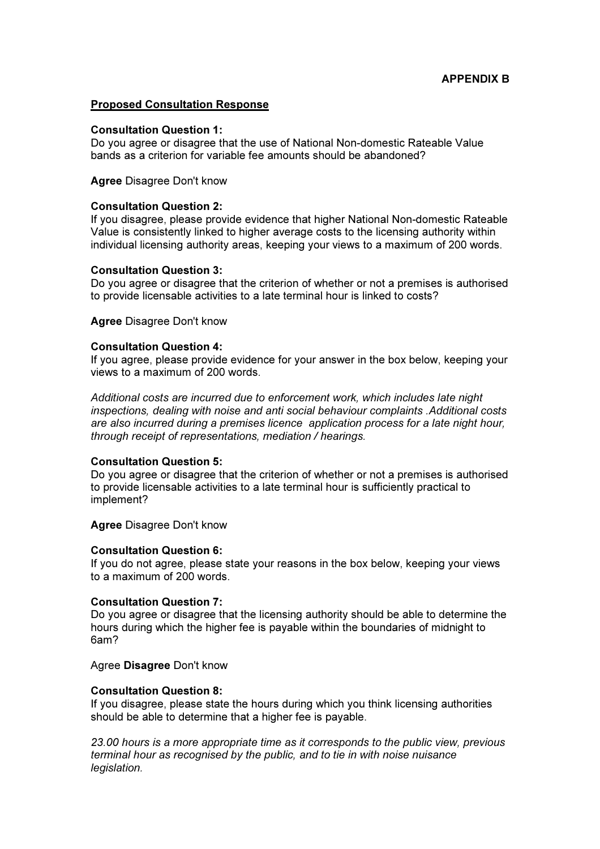# Proposed Consultation Response

#### Consultation Question 1:

Do you agree or disagree that the use of National Non-domestic Rateable Value bands as a criterion for variable fee amounts should be abandoned?

## Agree Disagree Don't know

## Consultation Question 2:

If you disagree, please provide evidence that higher National Non-domestic Rateable Value is consistently linked to higher average costs to the licensing authority within individual licensing authority areas, keeping your views to a maximum of 200 words.

#### Consultation Question 3:

Do you agree or disagree that the criterion of whether or not a premises is authorised to provide licensable activities to a late terminal hour is linked to costs?

#### Agree Disagree Don't know

#### Consultation Question 4:

If you agree, please provide evidence for your answer in the box below, keeping your views to a maximum of 200 words.

Additional costs are incurred due to enforcement work, which includes late night inspections, dealing with noise and anti social behaviour complaints .Additional costs are also incurred during a premises licence application process for a late night hour, through receipt of representations, mediation / hearings.

## Consultation Question 5:

Do you agree or disagree that the criterion of whether or not a premises is authorised to provide licensable activities to a late terminal hour is sufficiently practical to implement?

## Agree Disagree Don't know

## Consultation Question 6:

If you do not agree, please state your reasons in the box below, keeping your views to a maximum of 200 words.

## Consultation Question 7:

Do you agree or disagree that the licensing authority should be able to determine the hours during which the higher fee is payable within the boundaries of midnight to 6am?

#### Agree Disagree Don't know

## Consultation Question 8:

If you disagree, please state the hours during which you think licensing authorities should be able to determine that a higher fee is payable.

23.00 hours is a more appropriate time as it corresponds to the public view, previous terminal hour as recognised by the public, and to tie in with noise nuisance legislation.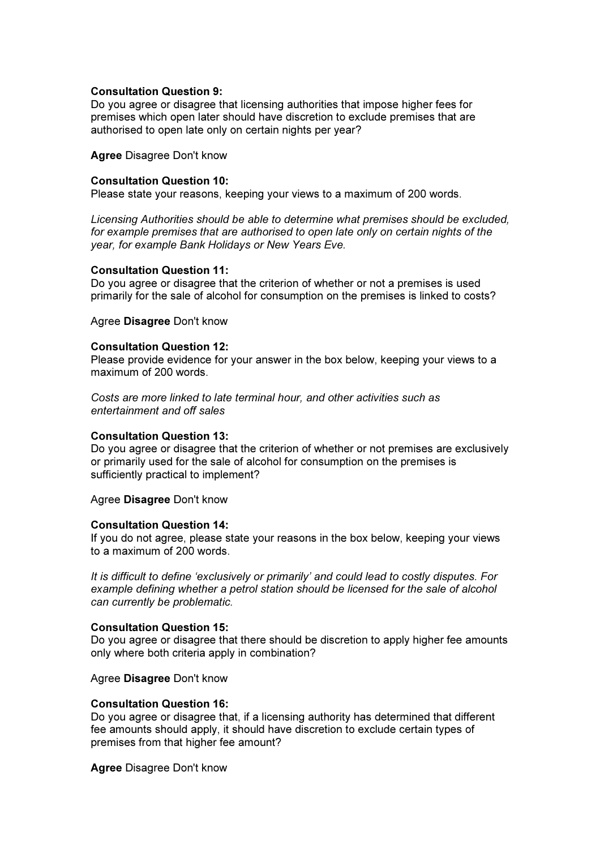# Consultation Question 9:

Do you agree or disagree that licensing authorities that impose higher fees for premises which open later should have discretion to exclude premises that are authorised to open late only on certain nights per year?

Agree Disagree Don't know

# Consultation Question 10:

Please state your reasons, keeping your views to a maximum of 200 words.

Licensing Authorities should be able to determine what premises should be excluded, for example premises that are authorised to open late only on certain nights of the year, for example Bank Holidays or New Years Eve.

## Consultation Question 11:

Do you agree or disagree that the criterion of whether or not a premises is used primarily for the sale of alcohol for consumption on the premises is linked to costs?

Agree Disagree Don't know

#### Consultation Question 12:

Please provide evidence for your answer in the box below, keeping your views to a maximum of 200 words.

Costs are more linked to late terminal hour, and other activities such as entertainment and off sales

## Consultation Question 13:

Do you agree or disagree that the criterion of whether or not premises are exclusively or primarily used for the sale of alcohol for consumption on the premises is sufficiently practical to implement?

Agree Disagree Don't know

## Consultation Question 14:

If you do not agree, please state your reasons in the box below, keeping your views to a maximum of 200 words.

It is difficult to define 'exclusively or primarily' and could lead to costly disputes. For example defining whether a petrol station should be licensed for the sale of alcohol can currently be problematic.

## Consultation Question 15:

Do you agree or disagree that there should be discretion to apply higher fee amounts only where both criteria apply in combination?

Agree Disagree Don't know

## Consultation Question 16:

Do you agree or disagree that, if a licensing authority has determined that different fee amounts should apply, it should have discretion to exclude certain types of premises from that higher fee amount?

Agree Disagree Don't know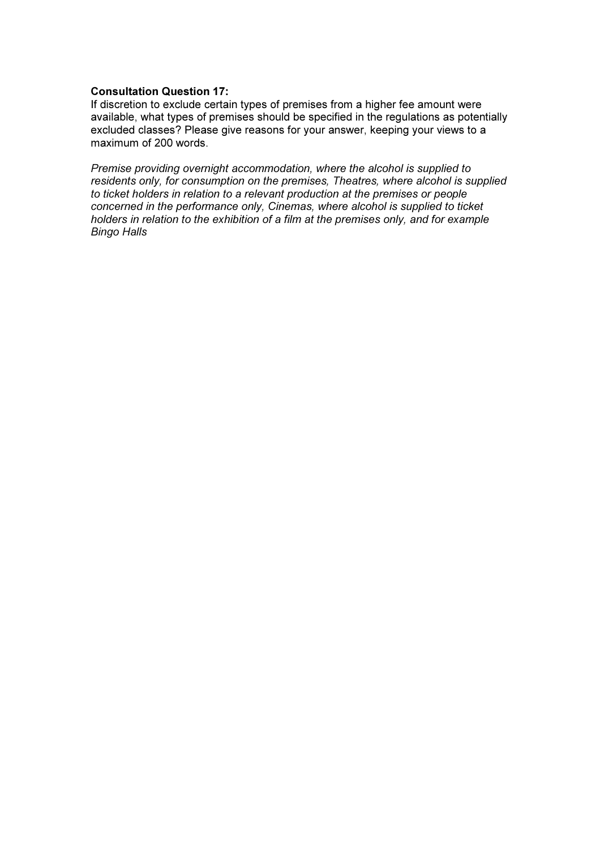## Consultation Question 17:

If discretion to exclude certain types of premises from a higher fee amount were available, what types of premises should be specified in the regulations as potentially excluded classes? Please give reasons for your answer, keeping your views to a maximum of 200 words.

Premise providing overnight accommodation, where the alcohol is supplied to residents only, for consumption on the premises, Theatres, where alcohol is supplied to ticket holders in relation to a relevant production at the premises or people concerned in the performance only, Cinemas, where alcohol is supplied to ticket holders in relation to the exhibition of a film at the premises only, and for example Bingo Halls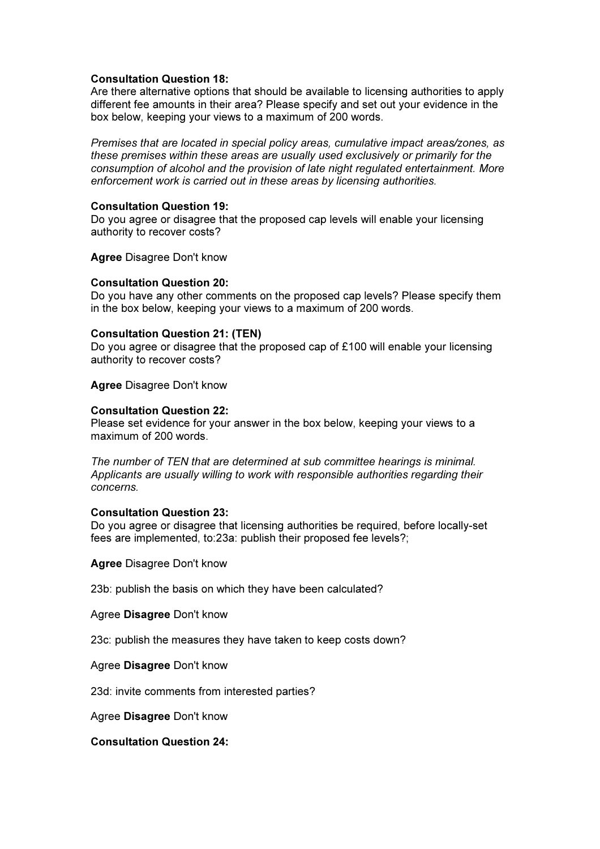## Consultation Question 18:

Are there alternative options that should be available to licensing authorities to apply different fee amounts in their area? Please specify and set out your evidence in the box below, keeping your views to a maximum of 200 words.

Premises that are located in special policy areas, cumulative impact areas/zones, as these premises within these areas are usually used exclusively or primarily for the consumption of alcohol and the provision of late night regulated entertainment. More enforcement work is carried out in these areas by licensing authorities.

## Consultation Question 19:

Do you agree or disagree that the proposed cap levels will enable your licensing authority to recover costs?

Agree Disagree Don't know

# Consultation Question 20:

Do you have any other comments on the proposed cap levels? Please specify them in the box below, keeping your views to a maximum of 200 words.

# Consultation Question 21: (TEN)

Do you agree or disagree that the proposed cap of £100 will enable your licensing authority to recover costs?

Agree Disagree Don't know

## Consultation Question 22:

Please set evidence for your answer in the box below, keeping your views to a maximum of 200 words.

The number of TEN that are determined at sub committee hearings is minimal. Applicants are usually willing to work with responsible authorities regarding their concerns.

## Consultation Question 23:

Do you agree or disagree that licensing authorities be required, before locally-set fees are implemented, to:23a: publish their proposed fee levels?;

Agree Disagree Don't know

23b: publish the basis on which they have been calculated?

Agree Disagree Don't know

23c: publish the measures they have taken to keep costs down?

## Agree Disagree Don't know

23d: invite comments from interested parties?

Agree Disagree Don't know

Consultation Question 24: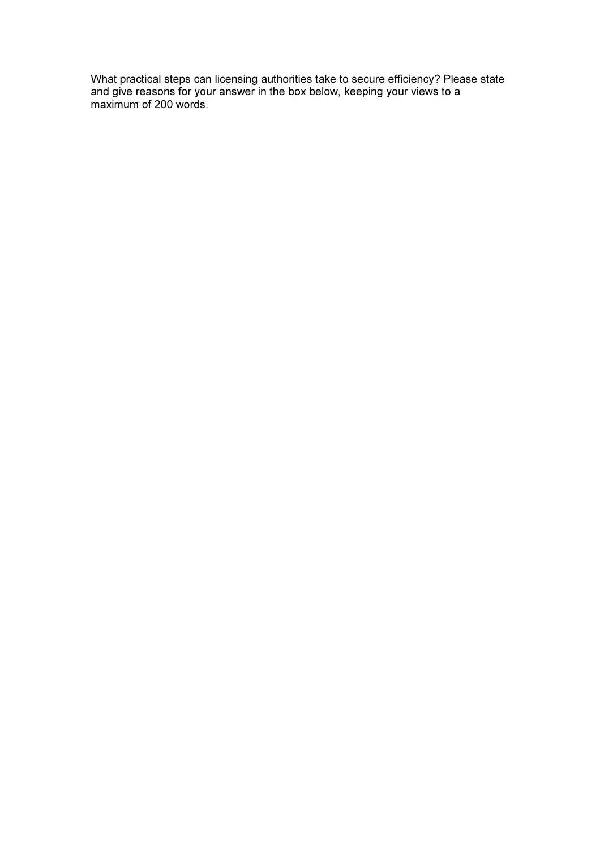What practical steps can licensing authorities take to secure efficiency? Please state and give reasons for your answer in the box below, keeping your views to a maximum of 200 words.